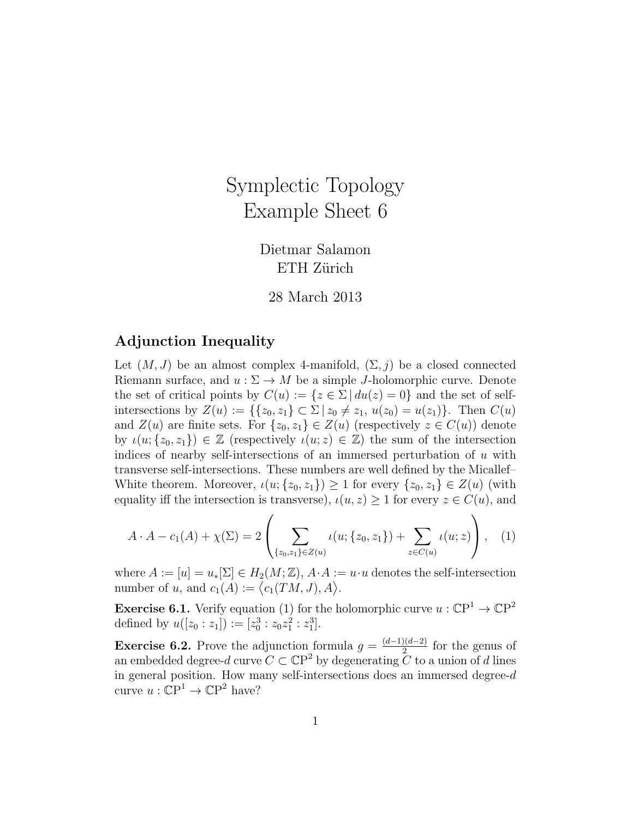## Symplectic Topology Example Sheet 6

Dietmar Salamon ETH Zürich

28 March 2013

## Adjunction Inequality

Let  $(M, J)$  be an almost complex 4-manifold,  $(\Sigma, j)$  be a closed connected Riemann surface, and  $u : \Sigma \to M$  be a simple J-holomorphic curve. Denote the set of critical points by  $C(u) := \{z \in \Sigma \mid du(z) = 0\}$  and the set of selfintersections by  $Z(u) := \{\{z_0, z_1\} \subset \Sigma \mid z_0 \neq z_1, u(z_0) = u(z_1)\}.$  Then  $C(u)$ and  $Z(u)$  are finite sets. For  $\{z_0, z_1\} \in Z(u)$  (respectively  $z \in C(u)$ ) denote by  $\iota(u; \{z_0, z_1\}) \in \mathbb{Z}$  (respectively  $\iota(u; z) \in \mathbb{Z}$ ) the sum of the intersection indices of nearby self-intersections of an immersed perturbation of u with transverse self-intersections. These numbers are well defined by the Micallef– White theorem. Moreover,  $\iota(u; \{z_0, z_1\}) \geq 1$  for every  $\{z_0, z_1\} \in Z(u)$  (with equality iff the intersection is transverse),  $\iota(u, z) \geq 1$  for every  $z \in C(u)$ , and

$$
A \cdot A - c_1(A) + \chi(\Sigma) = 2 \left( \sum_{\{z_0, z_1\} \in Z(u)} \iota(u; \{z_0, z_1\}) + \sum_{z \in C(u)} \iota(u; z) \right), \quad (1)
$$

where  $A := [u] = u_*[\Sigma] \in H_2(M; \mathbb{Z}), A \cdot A := u \cdot u$  denotes the self-intersection number of u, and  $c_1(A) := \langle c_1(TM, J), A \rangle$ .

**Exercise 6.1.** Verify equation (1) for the holomorphic curve  $u : \mathbb{C}P^1 \to \mathbb{C}P^2$ defined by  $u([z_0:z_1]) := [z_0^3:z_0z_1^2:z_1^3]$ .

**Exercise 6.2.** Prove the adjunction formula  $g = \frac{(d-1)(d-2)}{2}$  $\frac{2(1-a)}{2}$  for the genus of an embedded degree-d curve  $C \subset \mathbb{C}P^2$  by degenerating  $C$  to a union of d lines in general position. How many self-intersections does an immersed degree-d curve  $u: \mathbb{C}P^1 \to \mathbb{C}P^2$  have?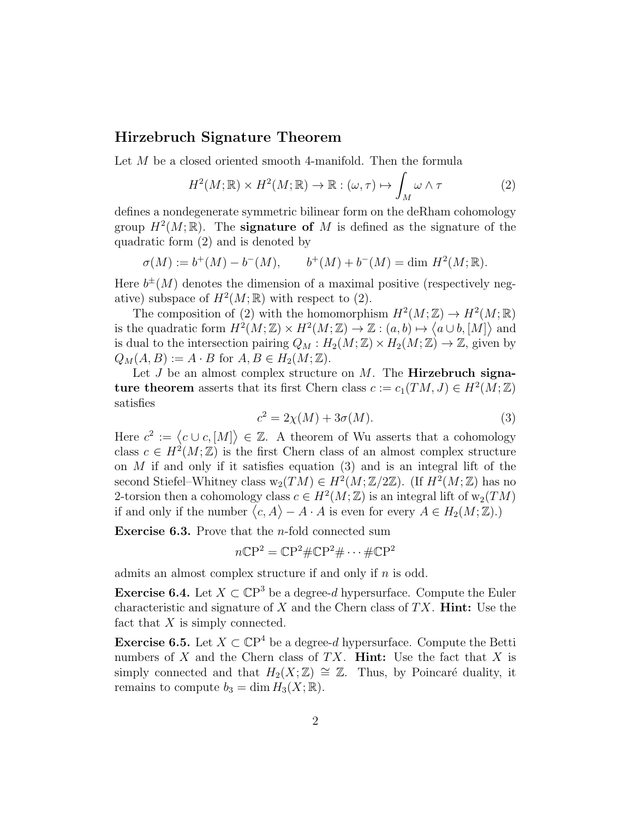## Hirzebruch Signature Theorem

Let M be a closed oriented smooth 4-manifold. Then the formula

$$
H^2(M; \mathbb{R}) \times H^2(M; \mathbb{R}) \to \mathbb{R} : (\omega, \tau) \mapsto \int_M \omega \wedge \tau \tag{2}
$$

defines a nondegenerate symmetric bilinear form on the deRham cohomology group  $H^2(M;\mathbb{R})$ . The **signature of** M is defined as the signature of the quadratic form (2) and is denoted by

$$
\sigma(M) := b^{+}(M) - b^{-}(M), \qquad b^{+}(M) + b^{-}(M) = \dim H^{2}(M; \mathbb{R}).
$$

Here  $b^{\pm}(M)$  denotes the dimension of a maximal positive (respectively negative) subspace of  $H^2(M;\mathbb{R})$  with respect to (2).

The composition of (2) with the homomorphism  $H^2(M; \mathbb{Z}) \to H^2(M; \mathbb{R})$ is the quadratic form  $H^2(M; \mathbb{Z}) \times H^2(M; \mathbb{Z}) \to \mathbb{Z} : (a, b) \mapsto \langle a \cup b, [M] \rangle$  and is dual to the intersection pairing  $Q_M : H_2(M; \mathbb{Z}) \times H_2(M; \mathbb{Z}) \to \mathbb{Z}$ , given by  $Q_M(A, B) := A \cdot B$  for  $A, B \in H_2(M; \mathbb{Z})$ .

Let  $J$  be an almost complex structure on  $M$ . The **Hirzebruch signa**ture theorem asserts that its first Chern class  $c := c_1(TM, J) \in H^2(M; \mathbb{Z})$ satisfies

$$
c^2 = 2\chi(M) + 3\sigma(M). \tag{3}
$$

Here  $c^2 := \langle c \cup c, [M] \rangle \in \mathbb{Z}$ . A theorem of Wu asserts that a cohomology class  $c \in H^2(M;\mathbb{Z})$  is the first Chern class of an almost complex structure on  $M$  if and only if it satisfies equation (3) and is an integral lift of the second Stiefel–Whitney class  $\mathrm{w}_2(TM) \in H^2(M;\mathbb{Z}/2\mathbb{Z})$ . (If  $H^2(M;\mathbb{Z})$  has no 2-torsion then a cohomology class  $c \in H^2(M; \mathbb{Z})$  is an integral lift of  $w_2(TM)$ if and only if the number  $\langle c, A \rangle - A \cdot A$  is even for every  $A \in H_2(M; \mathbb{Z})$ .

Exercise 6.3. Prove that the n-fold connected sum

$$
n\mathbb{C}\mathrm{P}^2 = \mathbb{C}\mathrm{P}^2 \# \mathbb{C}\mathrm{P}^2 \# \cdots \# \mathbb{C}\mathrm{P}^2
$$

admits an almost complex structure if and only if  $n$  is odd.

**Exercise 6.4.** Let  $X \subset \mathbb{C}P^3$  be a degree-d hypersurface. Compute the Euler characteristic and signature of  $X$  and the Chern class of  $TX$ . **Hint:** Use the fact that  $X$  is simply connected.

**Exercise 6.5.** Let  $X \subset \mathbb{C}P^4$  be a degree-d hypersurface. Compute the Betti numbers of X and the Chern class of TX. **Hint:** Use the fact that X is simply connected and that  $H_2(X;\mathbb{Z}) \cong \mathbb{Z}$ . Thus, by Poincaré duality, it remains to compute  $b_3 = \dim H_3(X; \mathbb{R})$ .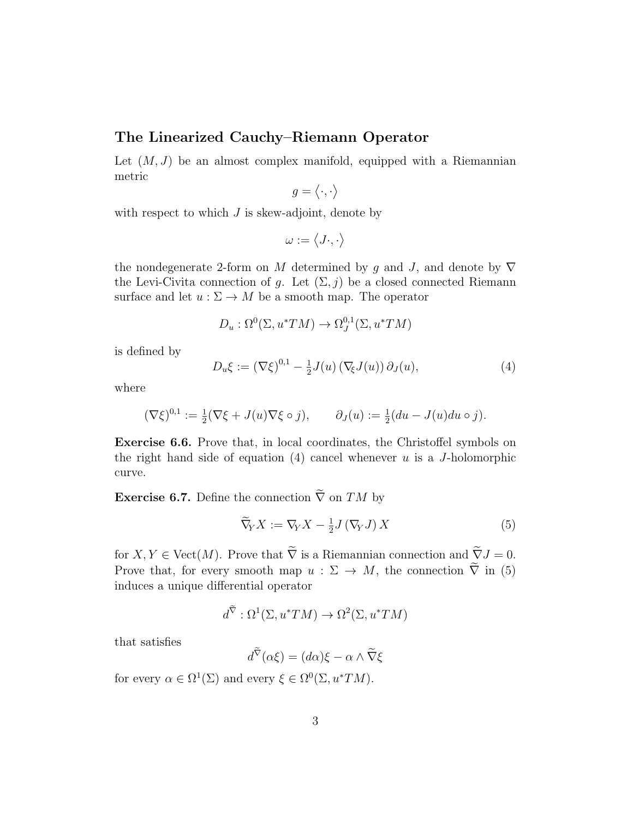## The Linearized Cauchy–Riemann Operator

Let  $(M, J)$  be an almost complex manifold, equipped with a Riemannian metric

$$
g=\langle\cdot,\cdot\rangle
$$

with respect to which  $J$  is skew-adjoint, denote by

$$
\omega:=\left\langle J\cdot,\cdot\right\rangle
$$

the nondegenerate 2-form on M determined by g and J, and denote by  $\nabla$ the Levi-Civita connection of g. Let  $(\Sigma, j)$  be a closed connected Riemann surface and let  $u : \Sigma \to M$  be a smooth map. The operator

$$
D_u: \Omega^0(\Sigma, u^*TM) \to \Omega^{0,1}_J(\Sigma, u^*TM)
$$

is defined by

$$
D_u \xi := (\nabla \xi)^{0,1} - \frac{1}{2} J(u) (\nabla_{\xi} J(u)) \partial_J(u), \qquad (4)
$$

where

$$
(\nabla \xi)^{0,1} := \frac{1}{2} (\nabla \xi + J(u) \nabla \xi \circ j), \qquad \partial_J(u) := \frac{1}{2} (du - J(u) du \circ j).
$$

Exercise 6.6. Prove that, in local coordinates, the Christoffel symbols on the right hand side of equation  $(4)$  cancel whenever u is a J-holomorphic curve.

**Exercise 6.7.** Define the connection  $\tilde{\nabla}$  on TM by

$$
\widetilde{\nabla}_Y X := \nabla_Y X - \frac{1}{2} J(\nabla_Y J) X \tag{5}
$$

for  $X, Y \in \text{Vect}(M)$ . Prove that  $\widetilde{\nabla}$  is a Riemannian connection and  $\widetilde{\nabla}J = 0$ . Prove that, for every smooth map  $u : \Sigma \to M$ , the connection  $\tilde{\nabla}$  in (5) induces a unique differential operator

$$
d^{\nabla} : \Omega^1(\Sigma, u^*TM) \to \Omega^2(\Sigma, u^*TM)
$$

that satisfies

$$
d^{\nabla}(\alpha \xi) = (d\alpha)\xi - \alpha \wedge \widetilde{\nabla}\xi
$$

for every  $\alpha \in \Omega^1(\Sigma)$  and every  $\xi \in \Omega^0(\Sigma, u^*TM)$ .